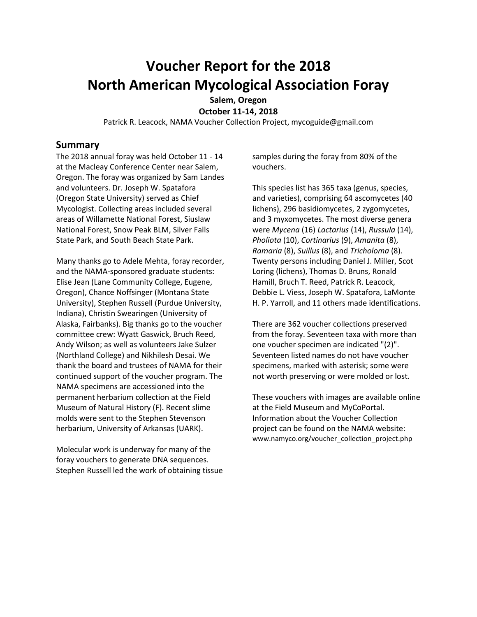# **Voucher Report for the 2018 North American Mycological Association Foray**

**Salem, Oregon**

**October 11-14, 2018**

Patrick R. Leacock, NAMA Voucher Collection Project, mycoguide@gmail.com

## **Summary**

The 2018 annual foray was held October 11 - 14 at the Macleay Conference Center near Salem, Oregon. The foray was organized by Sam Landes and volunteers. Dr. Joseph W. Spatafora (Oregon State University) served as Chief Mycologist. Collecting areas included several areas of Willamette National Forest, Siuslaw National Forest, Snow Peak BLM, Silver Falls State Park, and South Beach State Park.

Many thanks go to Adele Mehta, foray recorder, and the NAMA-sponsored graduate students: Elise Jean (Lane Community College, Eugene, Oregon), Chance Noffsinger (Montana State University), Stephen Russell (Purdue University, Indiana), Christin Swearingen (University of Alaska, Fairbanks). Big thanks go to the voucher committee crew: Wyatt Gaswick, Bruch Reed, Andy Wilson; as well as volunteers Jake Sulzer (Northland College) and Nikhilesh Desai. We thank the board and trustees of NAMA for their continued support of the voucher program. The NAMA specimens are accessioned into the permanent herbarium collection at the Field Museum of Natural History (F). Recent slime molds were sent to the Stephen Stevenson herbarium, University of Arkansas (UARK).

Molecular work is underway for many of the foray vouchers to generate DNA sequences. Stephen Russell led the work of obtaining tissue samples during the foray from 80% of the vouchers.

This species list has 365 taxa (genus, species, and varieties), comprising 64 ascomycetes (40 lichens), 296 basidiomycetes, 2 zygomycetes, and 3 myxomycetes. The most diverse genera were *Mycena* (16) *Lactarius* (14), *Russula* (14), *Pholiota* (10), *Cortinarius* (9), *Amanita* (8), *Ramaria* (8), *Suillus* (8), and *Tricholoma* (8). Twenty persons including Daniel J. Miller, Scot Loring (lichens), Thomas D. Bruns, Ronald Hamill, Bruch T. Reed, Patrick R. Leacock, Debbie L. Viess, Joseph W. Spatafora, LaMonte H. P. Yarroll, and 11 others made identifications.

There are 362 voucher collections preserved from the foray. Seventeen taxa with more than one voucher specimen are indicated "(2)". Seventeen listed names do not have voucher specimens, marked with asterisk; some were not worth preserving or were molded or lost.

These vouchers with images are available online at the Field Museum and MyCoPortal. Information about the Voucher Collection project can be found on the NAMA website: www.namyco.org/voucher\_collection\_project.php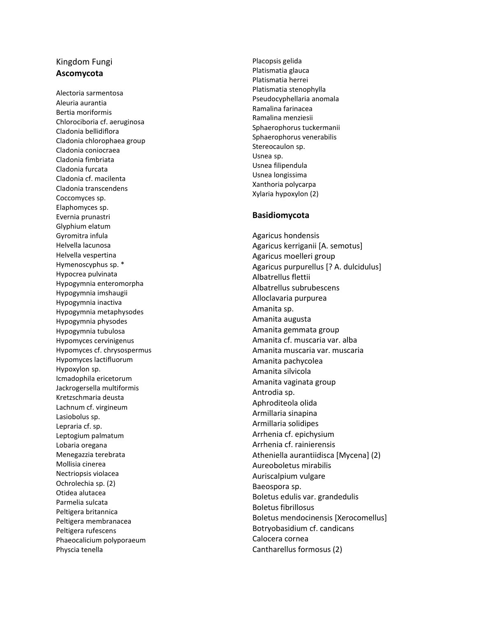# Kingdom Fungi **Ascomycota**

Alectoria sarmentosa Aleuria aurantia Bertia moriformis Chlorociboria cf. aeruginosa Cladonia bellidiflora Cladonia chlorophaea group Cladonia coniocraea Cladonia fimbriata Cladonia furcata Cladonia cf. macilenta Cladonia transcendens Coccomyces sp. Elaphomyces sp. Evernia prunastri Glyphium elatum Gyromitra infula Helvella lacunosa Helvella vespertina Hymenoscyphus sp. \* Hypocrea pulvinata Hypogymnia enteromorpha Hypogymnia imshaugii Hypogymnia inactiva Hypogymnia metaphysodes Hypogymnia physodes Hypogymnia tubulosa Hypomyces cervinigenus Hypomyces cf. chrysospermus Hypomyces lactifluorum Hypoxylon sp. Icmadophila ericetorum Jackrogersella multiformis Kretzschmaria deusta Lachnum cf. virgineum Lasiobolus sp. Lepraria cf. sp. Leptogium palmatum Lobaria oregana Menegazzia terebrata Mollisia cinerea Nectriopsis violacea Ochrolechia sp. (2) Otidea alutacea Parmelia sulcata Peltigera britannica Peltigera membranacea Peltigera rufescens Phaeocalicium polyporaeum Physcia tenella

Placopsis gelida Platismatia glauca Platismatia herrei Platismatia stenophylla Pseudocyphellaria anomala Ramalina farinacea Ramalina menziesii Sphaerophorus tuckermanii Sphaerophorus venerabilis Stereocaulon sp. Usnea sp. Usnea filipendula Usnea longissima Xanthoria polycarpa Xylaria hypoxylon (2)

#### **Basidiomycota**

Agaricus hondensis Agaricus kerriganii [A . semotus] Agaricus moelleri group Agaricus purpurellus [? A . dulcidulus] Albatrellus flettii Albatrellus subrubescens Alloclavaria purpurea Amanita sp. Amanita augusta Amanita gemmata group Amanita cf. muscaria var. alba Amanita muscaria var. muscaria Amanita pachycolea Amanita silvicola Amanita vaginata group Antrodia sp. Aphroditeola olida Armillaria sinapina Armillaria solidipes Arrhenia cf. epichysium Arrhenia cf. rainierensis Atheniella aurantiidisca [Mycena] (2) Aureoboletus mirabilis Auriscalpium vulgare Baeospora sp. Boletus edulis var. grandedulis Boletus fibrillosus Boletus mendocinensis [Xerocomellus] Botryobasidium cf. candicans Calocera cornea Cantharellus formosus (2)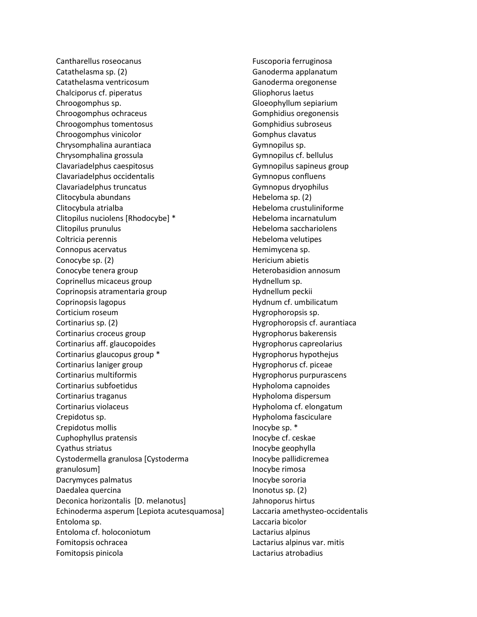Cantharellus roseocanus Catathelasma sp. (2) Catathelasma ventricosum Chalciporus cf. piperatus Chroogomphus sp. Chroogomphus ochraceus Chroogomphus tomentosus Chroogomphus vinicolor Chrysomphalina aurantiaca Chrysomphalina grossula Clavariadelphus caespitosus Clavariadelphus occidentalis Clavariadelphus truncatus Clitocybula abundans Clitocybula atrialba Clitopilus nuciolens [Rhodocybe] \* Clitopilus prunulus Coltricia perennis Connopus acervatus Conocybe sp. (2) Conocybe tenera group Coprinellus micaceus group Coprinopsis atramentaria group Coprinopsis lagopus Corticium roseum Cortinarius sp. (2) Cortinarius croceus group Cortinarius aff. glaucopoides Cortinarius glaucopus group \* Cortinarius laniger group Cortinarius multiformis Cortinarius subfoetidus Cortinarius traganus Cortinarius violaceus Crepidotus sp. Crepidotus mollis Cuphophyllus pratensis Cyathus striatus Cystodermella granulosa [Cystoderma granulosum] Dacrymyces palmatus Daedalea quercina Deconica horizontalis [D. melanotus] Echinoderma asperum [Lepiota acutesquamosa] Entoloma sp. Entoloma cf. holoconiotum Fomitopsis ochracea Fomitopsis pinicola

Fuscoporia ferruginosa Ganoderma applanatum Ganoderma oregonense Gliophorus laetus Gloeophyllum sepiarium Gomphidius oregonensis Gomphidius subroseus Gomphus clavatus Gymnopilus sp. Gymnopilus cf. bellulus Gymnopilus sapineus group Gymnopus confluens Gymnopus dryophilus Hebeloma sp. (2) Hebeloma crustuliniforme Hebeloma incarnatulum Hebeloma sacchariolens Hebeloma velutipes Hemimycena sp. Hericium abietis Heterobasidion annosum Hydnellum sp. Hydnellum peckii Hydnum cf. umbilicatum Hygrophoropsis sp. Hygrophoropsis cf. aurantiaca Hygrophorus bakerensis Hygrophorus capreolarius Hygrophorus hypothejus Hygrophorus cf. piceae Hygrophorus purpurascens Hypholoma capnoides Hypholoma dispersum Hypholoma cf. elongatum Hypholoma fasciculare Inocybe sp. \* Inocybe cf. ceskae Inocybe geophylla Inocybe pallidicremea Inocybe rimosa Inocybe sororia Inonotus sp. (2) Jahnoporus hirtus Laccaria amethysteo-occidentalis Laccaria bicolor Lactarius alpinus Lactarius alpinus var. mitis Lactarius atrobadius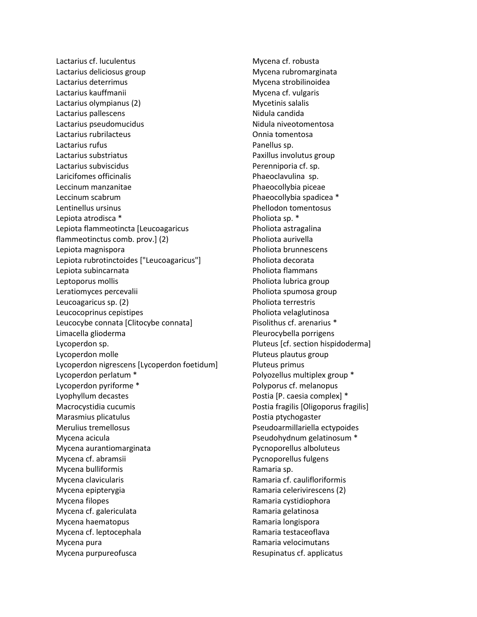Lactarius cf. luculentus Lactarius deliciosus group Lactarius deterrimus Lactarius kauffmanii Lactarius olympianus (2) Lactarius pallescens Lactarius pseudomucidus Lactarius rubrilacteus Lactarius rufus Lactarius substriatus Lactarius subviscidus Laricifomes officinalis Leccinum manzanitae Leccinum scabrum Lentinellus ursinus Lepiota atrodisca \* Lepiota flammeotincta [Leucoagaricus flammeotinctus comb. prov.] (2) Lepiota magnispora Lepiota rubrotinctoides ["Leucoagaricus"] Lepiota subincarnata Leptoporus mollis Leratiomyces percevalii Leucoagaricus sp. (2) Leucocoprinus cepistipes Leucocybe connata [Clitocybe connata] Limacella glioderma Lycoperdon sp. Lycoperdon molle Lycoperdon nigrescens [Lycoperdon foetidum] Lycoperdon perlatum \* Lycoperdon pyriforme \* Lyophyllum decastes Macrocystidia cucumis Marasmius plicatulus Merulius tremellosus Mycena acicula Mycena aurantiomarginata Mycena cf. abramsii Mycena bulliformis Mycena clavicularis Mycena epipterygia Mycena filopes Mycena cf. galericulata Mycena haematopus Mycena cf. leptocephala Mycena pura Mycena purpureofusca

Mycena cf. robusta Mycena rubromarginata Mycena strobilinoidea Mycena cf. vulgaris Mycetinis salalis Nidula candida Nidula niveotomentosa Onnia tomentosa Panellus sp. Paxillus involutus group Perenniporia cf. sp. Phaeoclavulina sp. Phaeocollybia piceae Phaeocollybia spadicea \* Phellodon tomentosus Pholiota sp. \* Pholiota astragalina Pholiota aurivella Pholiota brunnescens Pholiota decorata Pholiota flammans Pholiota lubrica group Pholiota spumosa group Pholiota terrestris Pholiota velaglutinosa Pisolithus cf. arenarius \* Pleurocybella porrigens Pluteus [cf. section hispidoderma] Pluteus plautus group Pluteus primus Polyozellus multiplex group \* Polyporus cf. melanopus Postia [P. caesia complex] \* Postia fragilis [Oligoporus fragilis] Postia ptychogaster Pseudoarmillariella ectypoides Pseudohydnum gelatinosum \* Pycnoporellus alboluteus Pycnoporellus fulgens Ramaria sp. Ramaria cf. caulifloriformis Ramaria celerivirescens (2) Ramaria cystidiophora Ramaria gelatinosa Ramaria longispora Ramaria testaceoflava Ramaria velocimutans Resupinatus cf. applicatus